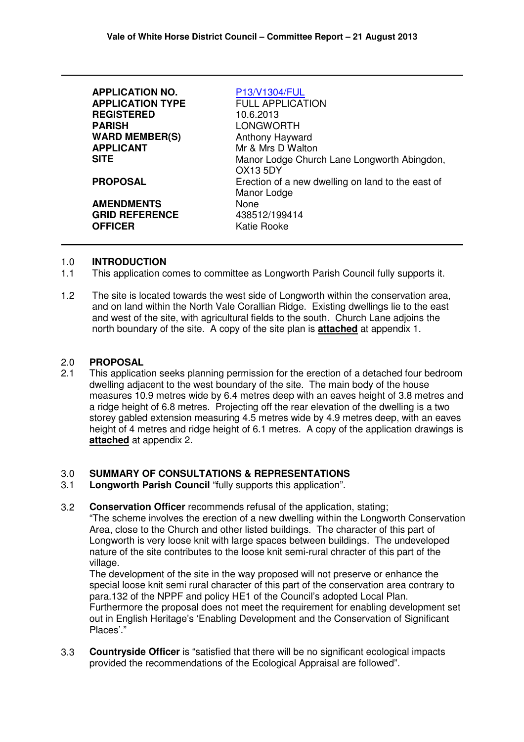| <b>APPLICATION NO.</b>                                                          | P13/V1304/FUL                                                                                                                      |
|---------------------------------------------------------------------------------|------------------------------------------------------------------------------------------------------------------------------------|
| <b>APPLICATION TYPE</b>                                                         | <b>FULL APPLICATION</b>                                                                                                            |
| <b>REGISTERED</b>                                                               | 10.6.2013                                                                                                                          |
| <b>PARISH</b>                                                                   | LONGWORTH                                                                                                                          |
| <b>WARD MEMBER(S)</b>                                                           | Anthony Hayward                                                                                                                    |
| <b>APPLICANT</b>                                                                | Mr & Mrs D Walton                                                                                                                  |
| <b>SITE</b>                                                                     | Manor Lodge Church Lane Longworth Abingdon,                                                                                        |
| <b>PROPOSAL</b><br><b>AMENDMENTS</b><br><b>GRID REFERENCE</b><br><b>OFFICER</b> | <b>OX13 5DY</b><br>Erection of a new dwelling on land to the east of<br>Manor Lodge<br><b>None</b><br>438512/199414<br>Katie Rooke |

#### 1.0 **INTRODUCTION**

- 1.1 This application comes to committee as Longworth Parish Council fully supports it.
- 1.2 The site is located towards the west side of Longworth within the conservation area, and on land within the North Vale Corallian Ridge. Existing dwellings lie to the east and west of the site, with agricultural fields to the south. Church Lane adjoins the north boundary of the site. A copy of the site plan is **attached** at appendix 1.

#### 2.0 **PROPOSAL**

2.1 This application seeks planning permission for the erection of a detached four bedroom dwelling adjacent to the west boundary of the site. The main body of the house measures 10.9 metres wide by 6.4 metres deep with an eaves height of 3.8 metres and a ridge height of 6.8 metres. Projecting off the rear elevation of the dwelling is a two storey gabled extension measuring 4.5 metres wide by 4.9 metres deep, with an eaves height of 4 metres and ridge height of 6.1 metres. A copy of the application drawings is **attached** at appendix 2.

#### 3.0 **SUMMARY OF CONSULTATIONS & REPRESENTATIONS**

- 3.1 **Longworth Parish Council** "fully supports this application".
- 3.2 **Conservation Officer** recommends refusal of the application, stating;

"The scheme involves the erection of a new dwelling within the Longworth Conservation Area, close to the Church and other listed buildings. The character of this part of Longworth is very loose knit with large spaces between buildings. The undeveloped nature of the site contributes to the loose knit semi-rural chracter of this part of the village.

The development of the site in the way proposed will not preserve or enhance the special loose knit semi rural character of this part of the conservation area contrary to para.132 of the NPPF and policy HE1 of the Council's adopted Local Plan. Furthermore the proposal does not meet the requirement for enabling development set out in English Heritage's 'Enabling Development and the Conservation of Significant Places'."

3.3 **Countryside Officer** is "satisfied that there will be no significant ecological impacts provided the recommendations of the Ecological Appraisal are followed".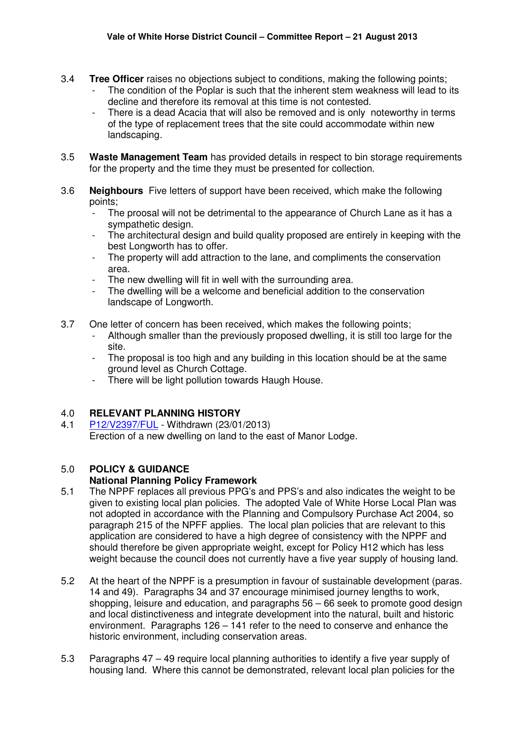- 3.4 **Tree Officer** raises no objections subject to conditions, making the following points;
	- The condition of the Poplar is such that the inherent stem weakness will lead to its decline and therefore its removal at this time is not contested.
	- There is a dead Acacia that will also be removed and is only noteworthy in terms of the type of replacement trees that the site could accommodate within new landscaping.
- 3.5 **Waste Management Team** has provided details in respect to bin storage requirements for the property and the time they must be presented for collection.
- 3.6 **Neighbours** Five letters of support have been received, which make the following points;
	- The proosal will not be detrimental to the appearance of Church Lane as it has a sympathetic design.
	- The architectural design and build quality proposed are entirely in keeping with the best Longworth has to offer.
	- The property will add attraction to the lane, and compliments the conservation area.
	- The new dwelling will fit in well with the surrounding area.
	- The dwelling will be a welcome and beneficial addition to the conservation landscape of Longworth.
- 3.7 One letter of concern has been received, which makes the following points;
	- Although smaller than the previously proposed dwelling, it is still too large for the site.
	- The proposal is too high and any building in this location should be at the same ground level as Church Cottage.
	- There will be light pollution towards Haugh House.

## 4.0 **RELEVANT PLANNING HISTORY**

4.1 P12/V2397/FUL - Withdrawn (23/01/2013) Erection of a new dwelling on land to the east of Manor Lodge.

# 5.0 **POLICY & GUIDANCE**

## **National Planning Policy Framework**

- 5.1 The NPPF replaces all previous PPG's and PPS's and also indicates the weight to be given to existing local plan policies. The adopted Vale of White Horse Local Plan was not adopted in accordance with the Planning and Compulsory Purchase Act 2004, so paragraph 215 of the NPFF applies. The local plan policies that are relevant to this application are considered to have a high degree of consistency with the NPPF and should therefore be given appropriate weight, except for Policy H12 which has less weight because the council does not currently have a five year supply of housing land.
- 5.2 At the heart of the NPPF is a presumption in favour of sustainable development (paras. 14 and 49). Paragraphs 34 and 37 encourage minimised journey lengths to work, shopping. leisure and education, and paragraphs 56 – 66 seek to promote good design and local distinctiveness and integrate development into the natural, built and historic environment. Paragraphs 126 – 141 refer to the need to conserve and enhance the historic environment, including conservation areas.
- 5.3 Paragraphs 47 – 49 require local planning authorities to identify a five year supply of housing land. Where this cannot be demonstrated, relevant local plan policies for the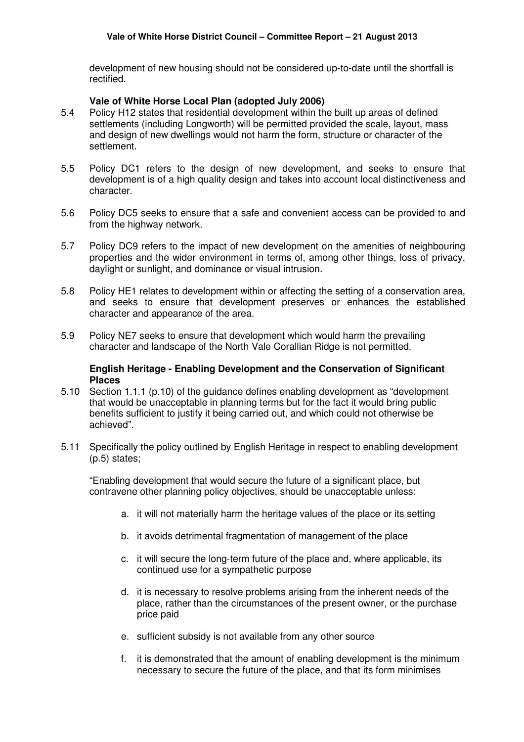development of new housing should not be considered up-to-date until the shortfall is rectified.

#### **Vale of White Horse Local Plan (adopted July 2006)**

- 5.4 Policy H12 states that residential development within the built up areas of defined settlements (including Longworth) will be permitted provided the scale, layout, mass and design of new dwellings would not harm the form, structure or character of the settlement.
- 5.5 Policy DC1 refers to the design of new development, and seeks to ensure that development is of a high quality design and takes into account local distinctiveness and character.
- 5.6 Policy DC5 seeks to ensure that a safe and convenient access can be provided to and from the highway network.
- 5.7 Policy DC9 refers to the impact of new development on the amenities of neighbouring properties and the wider environment in terms of, among other things, loss of privacy, daylight or sunlight, and dominance or visual intrusion.
- 5.8 Policy HE1 relates to development within or affecting the setting of a conservation area, and seeks to ensure that development preserves or enhances the established character and appearance of the area.
- 5.9 Policy NE7 seeks to ensure that development which would harm the prevailing character and landscape of the North Vale Corallian Ridge is not permitted.

#### **English Heritage - Enabling Development and the Conservation of Significant Places**

- 5.10 Section 1.1.1 (p.10) of the guidance defines enabling development as "development that would be unacceptable in planning terms but for the fact it would bring public benefits sufficient to justify it being carried out, and which could not otherwise be achieved".
- 5.11 Specifically the policy outlined by English Heritage in respect to enabling development (p.5) states;

"Enabling development that would secure the future of a significant place, but contravene other planning policy objectives, should be unacceptable unless:

- a. it will not materially harm the heritage values of the place or its setting
- b. it avoids detrimental fragmentation of management of the place
- c. it will secure the long-term future of the place and, where applicable, its continued use for a sympathetic purpose
- d. it is necessary to resolve problems arising from the inherent needs of the place, rather than the circumstances of the present owner, or the purchase price paid
- e. sufficient subsidy is not available from any other source
- f. it is demonstrated that the amount of enabling development is the minimum necessary to secure the future of the place, and that its form minimises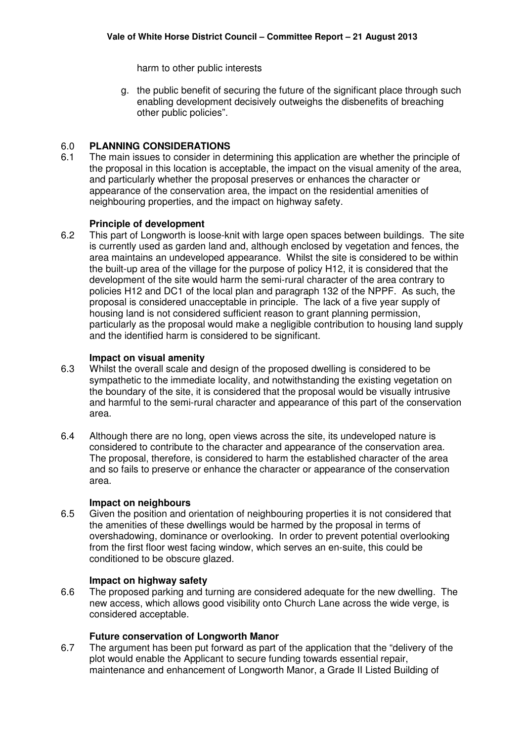harm to other public interests

g. the public benefit of securing the future of the significant place through such enabling development decisively outweighs the disbenefits of breaching other public policies".

#### 6.0 **PLANNING CONSIDERATIONS**

6.1 The main issues to consider in determining this application are whether the principle of the proposal in this location is acceptable, the impact on the visual amenity of the area, and particularly whether the proposal preserves or enhances the character or appearance of the conservation area, the impact on the residential amenities of neighbouring properties, and the impact on highway safety.

#### **Principle of development**

6.2 This part of Longworth is loose-knit with large open spaces between buildings. The site is currently used as garden land and, although enclosed by vegetation and fences, the area maintains an undeveloped appearance. Whilst the site is considered to be within the built-up area of the village for the purpose of policy H12, it is considered that the development of the site would harm the semi-rural character of the area contrary to policies H12 and DC1 of the local plan and paragraph 132 of the NPPF. As such, the proposal is considered unacceptable in principle. The lack of a five year supply of housing land is not considered sufficient reason to grant planning permission, particularly as the proposal would make a negligible contribution to housing land supply and the identified harm is considered to be significant.

#### **Impact on visual amenity**

- 6.3 Whilst the overall scale and design of the proposed dwelling is considered to be sympathetic to the immediate locality, and notwithstanding the existing vegetation on the boundary of the site, it is considered that the proposal would be visually intrusive and harmful to the semi-rural character and appearance of this part of the conservation area.
- 6.4 Although there are no long, open views across the site, its undeveloped nature is considered to contribute to the character and appearance of the conservation area. The proposal, therefore, is considered to harm the established character of the area and so fails to preserve or enhance the character or appearance of the conservation area.

#### **Impact on neighbours**

6.5 Given the position and orientation of neighbouring properties it is not considered that the amenities of these dwellings would be harmed by the proposal in terms of overshadowing, dominance or overlooking. In order to prevent potential overlooking from the first floor west facing window, which serves an en-suite, this could be conditioned to be obscure glazed.

#### **Impact on highway safety**

6.6 The proposed parking and turning are considered adequate for the new dwelling. The new access, which allows good visibility onto Church Lane across the wide verge, is considered acceptable.

#### **Future conservation of Longworth Manor**

6.7 The argument has been put forward as part of the application that the "delivery of the plot would enable the Applicant to secure funding towards essential repair, maintenance and enhancement of Longworth Manor, a Grade II Listed Building of